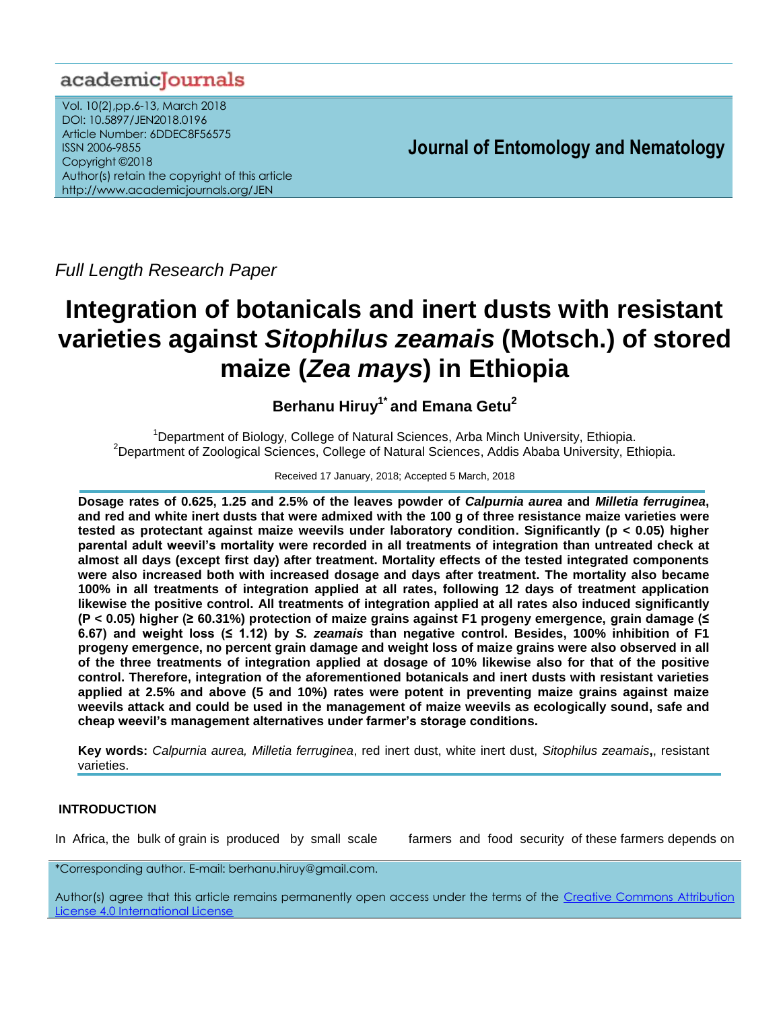## academicJournals

Vol. 10(2),pp.6-13, March 2018 DOI: 10.5897/JEN2018.0196 Article Number: 6DDEC8F56575 ISSN 2006-9855 Copyright ©2018 Author(s) retain the copyright of this article http://www.academicjournals.org/JEN

**Journal of Entomology and Nematology**

*Full Length Research Paper*

# **Integration of botanicals and inert dusts with resistant varieties against** *Sitophilus zeamais* **(Motsch.) of stored maize (***Zea mays***) in Ethiopia**

**Berhanu Hiruy1\* and Emana Getu<sup>2</sup>**

<sup>1</sup>Department of Biology, College of Natural Sciences, Arba Minch University, Ethiopia.  $2$ Department of Zoological Sciences, College of Natural Sciences, Addis Ababa University, Ethiopia.

Received 17 January, 2018; Accepted 5 March, 2018

**Dosage rates of 0.625, 1.25 and 2.5% of the leaves powder of** *Calpurnia aurea* **and** *Milletia ferruginea***, and red and white inert dusts that were admixed with the 100 g of three resistance maize varieties were tested as protectant against maize weevils under laboratory condition. Significantly (p < 0.05) higher parental adult weevil's mortality were recorded in all treatments of integration than untreated check at almost all days (except first day) after treatment. Mortality effects of the tested integrated components were also increased both with increased dosage and days after treatment. The mortality also became 100% in all treatments of integration applied at all rates, following 12 days of treatment application likewise the positive control. All treatments of integration applied at all rates also induced significantly (P < 0.05) higher (≥ 60.31%) protection of maize grains against F1 progeny emergence, grain damage (≤ 6.67) and weight loss (≤ 1.12) by** *S. zeamais* **than negative control. Besides, 100% inhibition of F1 progeny emergence, no percent grain damage and weight loss of maize grains were also observed in all of the three treatments of integration applied at dosage of 10% likewise also for that of the positive control. Therefore, integration of the aforementioned botanicals and inert dusts with resistant varieties applied at 2.5% and above (5 and 10%) rates were potent in preventing maize grains against maize weevils attack and could be used in the management of maize weevils as ecologically sound, safe and cheap weevil's management alternatives under farmer's storage conditions.**

**Key words:** *Calpurnia aurea, Milletia ferruginea*, red inert dust, white inert dust, *Sitophilus zeamais***,**, resistant varieties.

## **INTRODUCTION**

In Africa, the bulk of grain is produced by small scale farmers and food security of these farmers depends on

\*Corresponding author. E-mail: berhanu.hiruy@gmail.com.

Author(s) agree that this article remains permanently open access under the terms of the Creative Commons Attribution [License 4.0 International License](http://creativecommons.org/licenses/by/4.0/deed.en_US)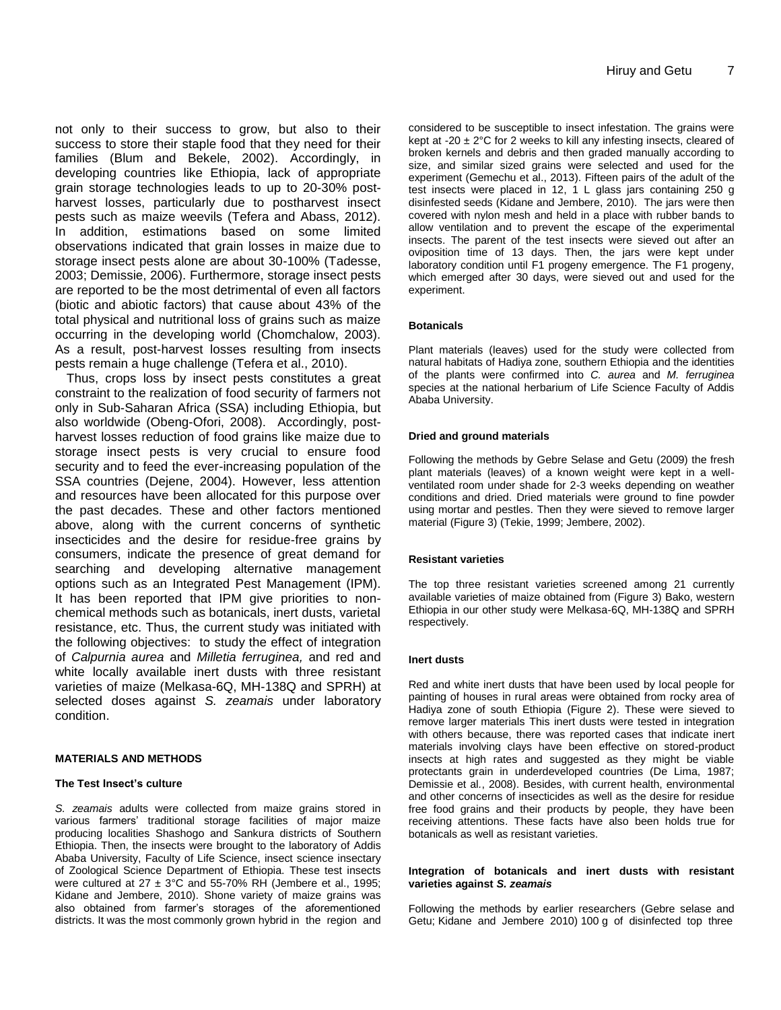not only to their success to grow, but also to their success to store their staple food that they need for their families (Blum and Bekele, 2002). Accordingly, in developing countries like Ethiopia, lack of appropriate grain storage technologies leads to up to 20-30% postharvest losses, particularly due to postharvest insect pests such as maize weevils (Tefera and Abass, 2012). In addition, estimations based on some limited observations indicated that grain losses in maize due to storage insect pests alone are about 30-100% (Tadesse, 2003; Demissie, 2006). Furthermore, storage insect pests are reported to be the most detrimental of even all factors (biotic and abiotic factors) that cause about 43% of the total physical and nutritional loss of grains such as maize occurring in the developing world (Chomchalow, 2003). As a result, post-harvest losses resulting from insects pests remain a huge challenge (Tefera et al., 2010).

Thus, crops loss by insect pests constitutes a great constraint to the realization of food security of farmers not only in Sub-Saharan Africa (SSA) including Ethiopia, but also worldwide (Obeng-Ofori, 2008). Accordingly, postharvest losses reduction of food grains like maize due to storage insect pests is very crucial to ensure food security and to feed the ever-increasing population of the SSA countries (Dejene, 2004). However, less attention and resources have been allocated for this purpose over the past decades. These and other factors mentioned above, along with the current concerns of synthetic insecticides and the desire for residue-free grains by consumers, indicate the presence of great demand for searching and developing alternative management options such as an Integrated Pest Management (IPM). It has been reported that IPM give priorities to nonchemical methods such as botanicals, inert dusts, varietal resistance, etc. Thus, the current study was initiated with the following objectives: to study the effect of integration of *Calpurnia aurea* and *Milletia ferruginea,* and red and white locally available inert dusts with three resistant varieties of maize (Melkasa-6Q, MH-138Q and SPRH) at selected doses against *S. zeamais* under laboratory condition.

#### **MATERIALS AND METHODS**

#### **The Test Insect's culture**

*S. zeamais* adults were collected from maize grains stored in various farmers' traditional storage facilities of major maize producing localities Shashogo and Sankura districts of Southern Ethiopia. Then, the insects were brought to the laboratory of Addis Ababa University, Faculty of Life Science, insect science insectary of Zoological Science Department of Ethiopia. These test insects were cultured at  $27 \pm 3^{\circ}$ C and 55-70% RH (Jembere et al., 1995; Kidane and Jembere, 2010). Shone variety of maize grains was also obtained from farmer's storages of the aforementioned districts. It was the most commonly grown hybrid in the region and

considered to be susceptible to insect infestation. The grains were kept at -20  $\pm$  2°C for 2 weeks to kill any infesting insects, cleared of broken kernels and debris and then graded manually according to size, and similar sized grains were selected and used for the experiment (Gemechu et al., 2013). Fifteen pairs of the adult of the test insects were placed in 12, 1 L glass jars containing 250 g disinfested seeds (Kidane and Jembere, 2010). The jars were then covered with nylon mesh and held in a place with rubber bands to allow ventilation and to prevent the escape of the experimental insects. The parent of the test insects were sieved out after an oviposition time of 13 days. Then, the jars were kept under laboratory condition until F1 progeny emergence. The F1 progeny, which emerged after 30 days, were sieved out and used for the experiment.

#### **Botanicals**

Plant materials (leaves) used for the study were collected from natural habitats of Hadiya zone, southern Ethiopia and the identities of the plants were confirmed into *C. aurea* and *M. ferruginea*  species at the national herbarium of Life Science Faculty of Addis Ababa University.

#### **Dried and ground materials**

Following the methods by Gebre Selase and Getu (2009) the fresh plant materials (leaves) of a known weight were kept in a wellventilated room under shade for 2-3 weeks depending on weather conditions and dried. Dried materials were ground to fine powder using mortar and pestles. Then they were sieved to remove larger material (Figure 3) (Tekie, 1999; Jembere, 2002).

#### **Resistant varieties**

The top three resistant varieties screened among 21 currently available varieties of maize obtained from (Figure 3) Bako, western Ethiopia in our other study were Melkasa-6Q, MH-138Q and SPRH respectively.

#### **Inert dusts**

Red and white inert dusts that have been used by local people for painting of houses in rural areas were obtained from rocky area of Hadiya zone of south Ethiopia (Figure 2). These were sieved to remove larger materials This inert dusts were tested in integration with others because, there was reported cases that indicate inert materials involving clays have been effective on stored-product insects at high rates and suggested as they might be viable protectants grain in underdeveloped countries (De Lima, 1987; Demissie et al*.*, 2008). Besides, with current health, environmental and other concerns of insecticides as well as the desire for residue free food grains and their products by people, they have been receiving attentions. These facts have also been holds true for botanicals as well as resistant varieties.

#### **Integration of botanicals and inert dusts with resistant varieties against** *S. zeamais*

Following the methods by earlier researchers (Gebre selase and Getu; Kidane and Jembere 2010) 100 g of disinfected top three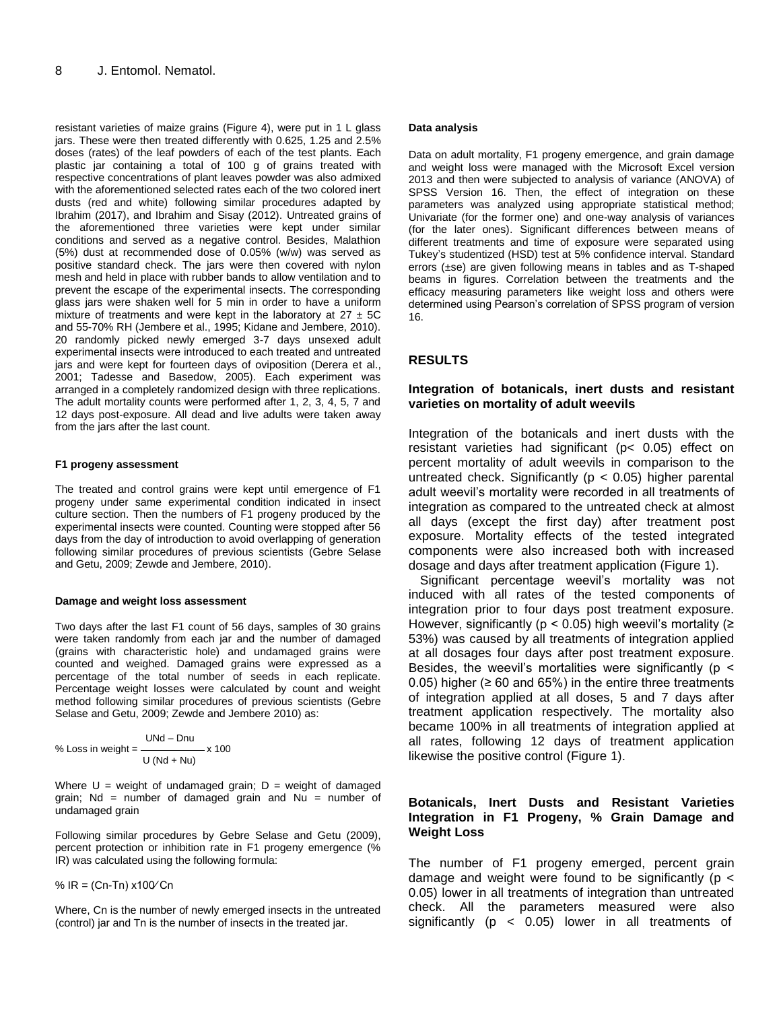resistant varieties of maize grains (Figure 4), were put in 1 L glass jars. These were then treated differently with 0.625, 1.25 and 2.5% doses (rates) of the leaf powders of each of the test plants. Each plastic jar containing a total of 100 g of grains treated with respective concentrations of plant leaves powder was also admixed with the aforementioned selected rates each of the two colored inert dusts (red and white) following similar procedures adapted by Ibrahim (2017), and Ibrahim and Sisay (2012). Untreated grains of the aforementioned three varieties were kept under similar conditions and served as a negative control. Besides, Malathion (5%) dust at recommended dose of 0.05% (w/w) was served as positive standard check. The jars were then covered with nylon mesh and held in place with rubber bands to allow ventilation and to prevent the escape of the experimental insects. The corresponding glass jars were shaken well for 5 min in order to have a uniform mixture of treatments and were kept in the laboratory at  $27 \pm 5C$ and 55-70% RH (Jembere et al., 1995; Kidane and Jembere, 2010). 20 randomly picked newly emerged 3-7 days unsexed adult experimental insects were introduced to each treated and untreated jars and were kept for fourteen days of oviposition (Derera et al., 2001; Tadesse and Basedow, 2005). Each experiment was arranged in a completely randomized design with three replications. The adult mortality counts were performed after 1, 2, 3, 4, 5, 7 and 12 days post-exposure. All dead and live adults were taken away from the jars after the last count.

#### **F1 progeny assessment**

The treated and control grains were kept until emergence of F1 progeny under same experimental condition indicated in insect culture section. Then the numbers of F1 progeny produced by the experimental insects were counted. Counting were stopped after 56 days from the day of introduction to avoid overlapping of generation following similar procedures of previous scientists (Gebre Selase and Getu, 2009; Zewde and Jembere, 2010).

#### **Damage and weight loss assessment**

Two days after the last F1 count of 56 days, samples of 30 grains were taken randomly from each jar and the number of damaged (grains with characteristic hole) and undamaged grains were counted and weighed. Damaged grains were expressed as a percentage of the total number of seeds in each replicate. Percentage weight losses were calculated by count and weight method following similar procedures of previous scientists (Gebre Selase and Getu, 2009; Zewde and Jembere 2010) as:

% Loss in weight = 
$$
\frac{UNd - Dnu}{U (Nd + Nu)} \times 100
$$

Where  $U =$  weight of undamaged grain;  $D =$  weight of damaged grain;  $Nd = number of damaged grain and Nu = number of$ undamaged grain

Following similar procedures by Gebre Selase and Getu (2009), percent protection or inhibition rate in F1 progeny emergence (% IR) was calculated using the following formula:

%  $IR = (Cn-Tn) x100/Cn$ 

Where, Cn is the number of newly emerged insects in the untreated (control) jar and Tn is the number of insects in the treated jar.

#### **Data analysis**

Data on adult mortality, F1 progeny emergence, and grain damage and weight loss were managed with the Microsoft Excel version 2013 and then were subjected to analysis of variance (ANOVA) of SPSS Version 16. Then, the effect of integration on these parameters was analyzed using appropriate statistical method; Univariate (for the former one) and one-way analysis of variances (for the later ones). Significant differences between means of different treatments and time of exposure were separated using Tukey's studentized (HSD) test at 5% confidence interval. Standard errors (±se) are given following means in tables and as T-shaped beams in figures. Correlation between the treatments and the efficacy measuring parameters like weight loss and others were determined using Pearson's correlation of SPSS program of version 16.

## **RESULTS**

## **Integration of botanicals, inert dusts and resistant varieties on mortality of adult weevils**

Integration of the botanicals and inert dusts with the resistant varieties had significant (p< 0.05) effect on percent mortality of adult weevils in comparison to the untreated check. Significantly ( $p < 0.05$ ) higher parental adult weevil's mortality were recorded in all treatments of integration as compared to the untreated check at almost all days (except the first day) after treatment post exposure. Mortality effects of the tested integrated components were also increased both with increased dosage and days after treatment application (Figure 1).

Significant percentage weevil's mortality was not induced with all rates of the tested components of integration prior to four days post treatment exposure. However, significantly ( $p < 0.05$ ) high weevil's mortality ( $\ge$ 53%) was caused by all treatments of integration applied at all dosages four days after post treatment exposure. Besides, the weevil's mortalities were significantly ( $p \le$ 0.05) higher ( $\geq 60$  and 65%) in the entire three treatments of integration applied at all doses, 5 and 7 days after treatment application respectively. The mortality also became 100% in all treatments of integration applied at all rates, following 12 days of treatment application likewise the positive control (Figure 1).

## **Botanicals, Inert Dusts and Resistant Varieties Integration in F1 Progeny, % Grain Damage and Weight Loss**

The number of F1 progeny emerged, percent grain damage and weight were found to be significantly ( $p <$ 0.05) lower in all treatments of integration than untreated check. All the parameters measured were also significantly (p < 0.05) lower in all treatments of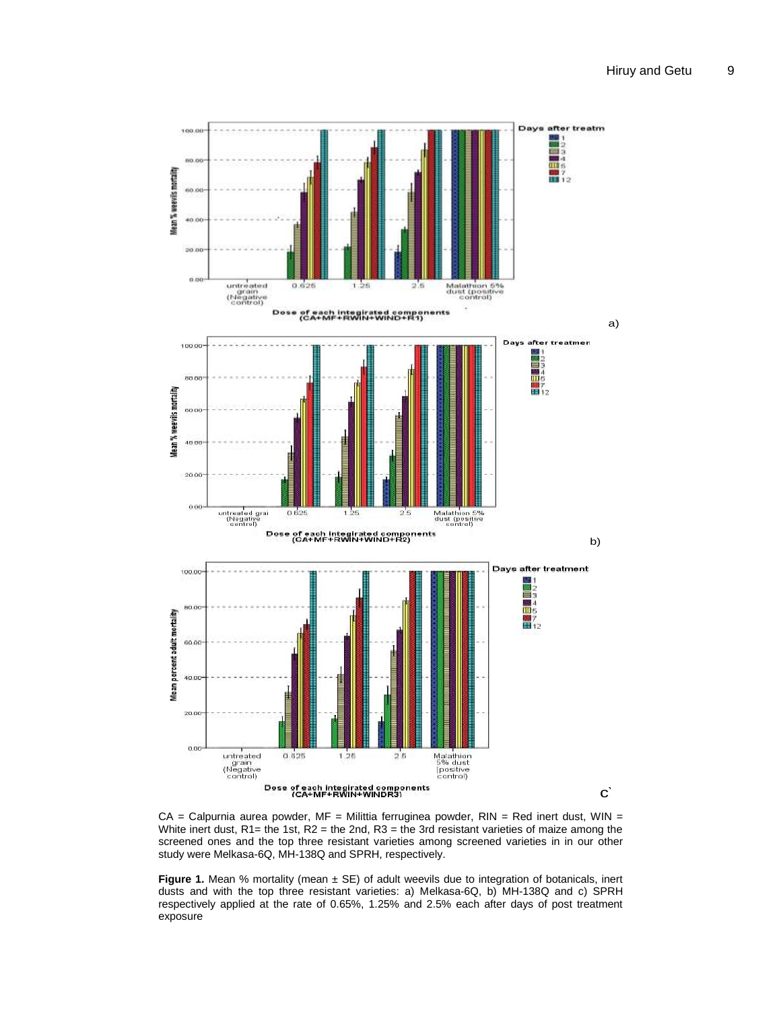

 $CA = Calpurnia aurea powder, MF = Militia ferruginea powder, RIN = Red inert dust, WIN =$ White inert dust,  $R1$  = the 1st,  $R2$  = the 2nd,  $R3$  = the 3rd resistant varieties of maize among the screened ones and the top three resistant varieties among screened varieties in in our other study were Melkasa-6Q, MH-138Q and SPRH, respectively.

**Figure 1.** Mean % mortality (mean  $\pm$  SE) of adult weevils due to integration of botanicals, inert dusts and with the top three resistant varieties: a) Melkasa-6Q, b) MH-138Q and c) SPRH respectively applied at the rate of 0.65%, 1.25% and 2.5% each after days of post treatment exposure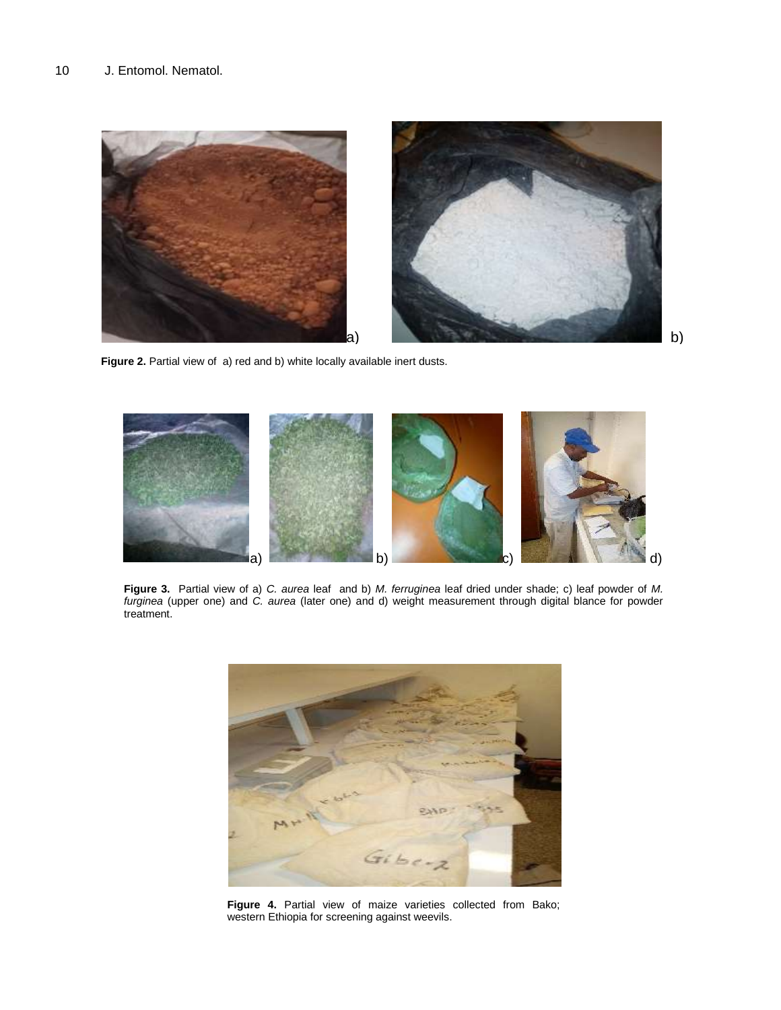

Figure 2. Partial view of a) red and b) white locally available inert dusts.



**Figure 3.** Partial view of a) *C. aurea* leaf and b) *M. ferruginea* leaf dried under shade; c) leaf powder of *M. furginea* (upper one) and *C. aurea* (later one) and d) weight measurement through digital blance for powder treatment.



**Figure 4.** Partial view of maize varieties collected from Bako; western Ethiopia for screening against weevils.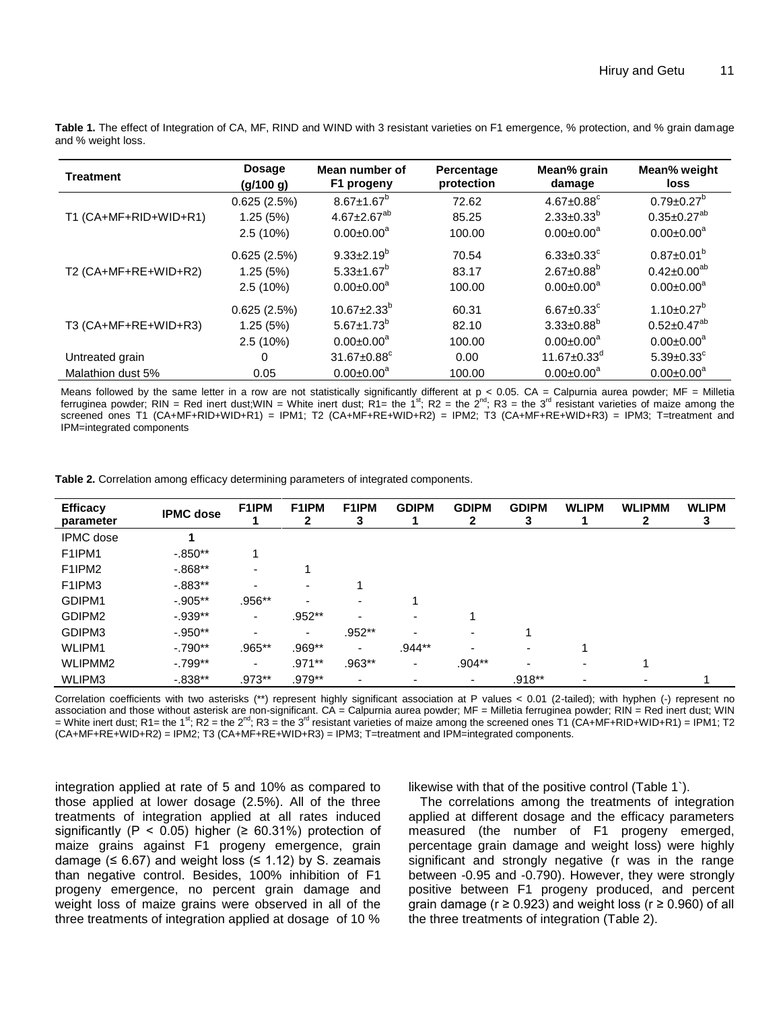| <b>Treatment</b>      | Dosage<br>(g/100 g) | Mean number of<br>F1 progeny  | Percentage<br>protection | Mean% grain<br>damage         | Mean% weight<br>loss         |
|-----------------------|---------------------|-------------------------------|--------------------------|-------------------------------|------------------------------|
|                       | 0.625(2.5%)         | $8.67 \pm 1.67$ <sup>b</sup>  | 72.62                    | $4.67 \pm 0.88$ <sup>c</sup>  | $0.79 \pm 0.27^{\circ}$      |
| T1 (CA+MF+RID+WID+R1) | 1.25(5%)            | $4.67 \pm 2.67^{ab}$          | 85.25                    | $2.33 \pm 0.33^{\circ}$       | $0.35 \pm 0.27^{ab}$         |
|                       | 2.5(10%)            | $0.00 \pm 0.00^a$             | 100.00                   | $0.00 \pm 0.00^a$             | $0.00 \pm 0.00^a$            |
| T2 (CA+MF+RE+WID+R2)  | 0.625(2.5%)         | $9.33 \pm 2.19^b$             | 70.54                    | $6.33 \pm 0.33$ <sup>c</sup>  | $0.87 \pm 0.01^{\circ}$      |
|                       | 1.25(5%)            | $5.33 \pm 1.67^b$             | 83.17                    | $2.67 \pm 0.88$ <sup>b</sup>  | $0.42 \pm 0.00^{ab}$         |
|                       | $2.5(10\%)$         | $0.00 \pm 0.00^a$             | 100.00                   | $0.00 \pm 0.00^a$             | $0.00 \pm 0.00^a$            |
| T3 (CA+MF+RE+WID+R3)  | 0.625(2.5%)         | $10.67 + 2.33^{b}$            | 60.31                    | $6.67 \pm 0.33$ <sup>c</sup>  | $1.10 \pm 0.27$ <sup>b</sup> |
|                       | 1.25(5%)            | $5.67 \pm 1.73^{\circ}$       | 82.10                    | $3.33 \pm 0.88^{\circ}$       | $0.52 \pm 0.47^{ab}$         |
|                       | 2.5(10%)            | $0.00 \pm 0.00^a$             | 100.00                   | $0.00 \pm 0.00^a$             | $0.00 \pm 0.00^a$            |
| Untreated grain       | 0                   | $31.67 \pm 0.88$ <sup>c</sup> | 0.00                     | $11.67 \pm 0.33$ <sup>a</sup> | $5.39 \pm 0.33$              |
| Malathion dust 5%     | 0.05                | $0.00 \pm 0.00^4$             | 100.00                   | $0.00 \pm 0.00^4$             | $0.00 \pm 0.00^4$            |

**Table 1.** The effect of Integration of CA, MF, RIND and WIND with 3 resistant varieties on F1 emergence, % protection, and % grain damage and % weight loss.

Means followed by the same letter in a row are not statistically significantly different at p < 0.05. CA = Calpurnia aurea powder; MF = Milletia<br>ferruginea powder; RIN = Red inert dust;WIN = White inert dust; R1= the 1<sup>st</sup> screened ones T1 (CA+MF+RID+WID+R1) = IPM1; T2 (CA+MF+RE+WID+R2) = IPM2; T3 (CA+MF+RE+WID+R3) = IPM3; T=treatment and IPM=integrated components

**Table 2.** Correlation among efficacy determining parameters of integrated components.

| <b>Efficacy</b><br>parameter    | <b>IPMC</b> dose | F1IPM     | F1IPM<br>2               | F1IPM<br>3               | <b>GDIPM</b>             | <b>GDIPM</b><br>$\mathbf{2}$ | <b>GDIPM</b><br>3        | <b>WLIPM</b>             | <b>WLIPMM</b><br>$\mathbf{2}$ | <b>WLIPM</b><br>3 |
|---------------------------------|------------------|-----------|--------------------------|--------------------------|--------------------------|------------------------------|--------------------------|--------------------------|-------------------------------|-------------------|
| <b>IPMC</b> dose                |                  |           |                          |                          |                          |                              |                          |                          |                               |                   |
| F1IPM1                          | $-0.850**$       |           |                          |                          |                          |                              |                          |                          |                               |                   |
| F <sub>1</sub> IPM <sub>2</sub> | $-0.868**$       | ۰         |                          |                          |                          |                              |                          |                          |                               |                   |
| F <sub>1</sub> IPM <sub>3</sub> | $-0.883**$       | ۰         | $\overline{\phantom{0}}$ |                          |                          |                              |                          |                          |                               |                   |
| GDIPM1                          | $-0.905**$       | $.956**$  |                          | $\overline{\phantom{0}}$ |                          |                              |                          |                          |                               |                   |
| GDIPM2                          | $-0.939**$       | ٠         | $.952**$                 | ۰                        | $\overline{\phantom{a}}$ |                              |                          |                          |                               |                   |
| GDIPM3                          | $-.950**$        | ۰         | ٠                        | $.952**$                 | $\overline{\phantom{0}}$ | ۰.                           |                          |                          |                               |                   |
| WLIPM1                          | $-.790**$        | $.965***$ | .969**                   | $\overline{\phantom{0}}$ | .944**                   |                              | ٠                        |                          |                               |                   |
| <b>WLIPMM2</b>                  | $-0.799**$       | ۰         | $.971***$                | $.963**$                 | ۰                        | $.904**$                     | $\overline{\phantom{0}}$ | $\overline{\phantom{0}}$ |                               |                   |
| WLIPM3                          | $-0.838**$       | $.973**$  | $.979**$                 | ٠                        | ۰                        |                              | $.918**$                 | -                        |                               |                   |

Correlation coefficients with two asterisks (\*\*) represent highly significant association at P values < 0.01 (2-tailed); with hyphen (-) represent no association and those without asterisk are non-significant. CA = Calpurnia aurea powder; MF = Milletia ferruginea powder; RIN = Red inert dust; WIN = White inert dust; R1= the 1<sup>st</sup>; R2 = the 2<sup>nd</sup>; R3 = the 3<sup>rd</sup> resistant varieties of maize among the screened ones T1 (CA+MF+RID+WID+R1) = IPM1; T2 (CA+MF+RE+WID+R2) = IPM2; T3 (CA+MF+RE+WID+R3) = IPM3; T=treatment and IPM=integrated components.

integration applied at rate of 5 and 10% as compared to those applied at lower dosage (2.5%). All of the three treatments of integration applied at all rates induced significantly (P < 0.05) higher ( $\geq$  60.31%) protection of maize grains against F1 progeny emergence, grain damage ( $\leq 6.67$ ) and weight loss ( $\leq 1.12$ ) by S. zeamais than negative control. Besides, 100% inhibition of F1 progeny emergence, no percent grain damage and weight loss of maize grains were observed in all of the three treatments of integration applied at dosage of 10 %

likewise with that of the positive control (Table 1`).

The correlations among the treatments of integration applied at different dosage and the efficacy parameters measured (the number of F1 progeny emerged, percentage grain damage and weight loss) were highly significant and strongly negative (r was in the range between -0.95 and -0.790). However, they were strongly positive between F1 progeny produced, and percent grain damage ( $r \ge 0.923$ ) and weight loss ( $r \ge 0.960$ ) of all the three treatments of integration (Table 2).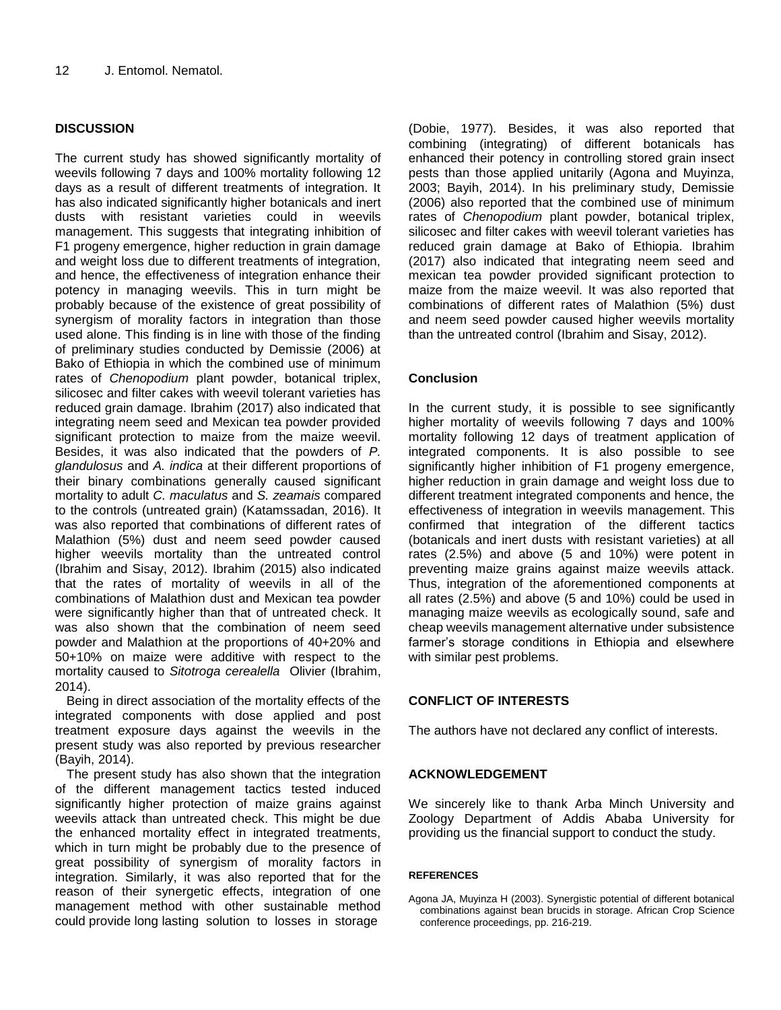## **DISCUSSION**

The current study has showed significantly mortality of weevils following 7 days and 100% mortality following 12 days as a result of different treatments of integration. It has also indicated significantly higher botanicals and inert dusts with resistant varieties could in weevils management. This suggests that integrating inhibition of F1 progeny emergence, higher reduction in grain damage and weight loss due to different treatments of integration, and hence, the effectiveness of integration enhance their potency in managing weevils. This in turn might be probably because of the existence of great possibility of synergism of morality factors in integration than those used alone. This finding is in line with those of the finding of preliminary studies conducted by Demissie (2006) at Bako of Ethiopia in which the combined use of minimum rates of *Chenopodium* plant powder, botanical triplex, silicosec and filter cakes with weevil tolerant varieties has reduced grain damage. Ibrahim (2017) also indicated that integrating neem seed and Mexican tea powder provided significant protection to maize from the maize weevil. Besides, it was also indicated that the powders of *P. glandulosus* and *A. indica* at their different proportions of their binary combinations generally caused significant mortality to adult *C. maculatus* and *S. zeamais* compared to the controls (untreated grain) (Katamssadan, 2016). It was also reported that combinations of different rates of Malathion (5%) dust and neem seed powder caused higher weevils mortality than the untreated control (Ibrahim and Sisay, 2012). Ibrahim (2015) also indicated that the rates of mortality of weevils in all of the combinations of Malathion dust and Mexican tea powder were significantly higher than that of untreated check. It was also shown that the combination of neem seed powder and Malathion at the proportions of 40+20% and 50+10% on maize were additive with respect to the mortality caused to *Sitotroga cerealella* Olivier (Ibrahim, 2014).

Being in direct association of the mortality effects of the integrated components with dose applied and post treatment exposure days against the weevils in the present study was also reported by previous researcher (Bayih, 2014).

The present study has also shown that the integration of the different management tactics tested induced significantly higher protection of maize grains against weevils attack than untreated check. This might be due the enhanced mortality effect in integrated treatments, which in turn might be probably due to the presence of great possibility of synergism of morality factors in integration. Similarly, it was also reported that for the reason of their synergetic effects, integration of one management method with other sustainable method could provide long lasting solution to losses in storage

(Dobie, 1977)*.* Besides, it was also reported that combining (integrating) of different botanicals has enhanced their potency in controlling stored grain insect pests than those applied unitarily (Agona and Muyinza, 2003; Bayih, 2014). In his preliminary study, Demissie (2006) also reported that the combined use of minimum rates of *Chenopodium* plant powder, botanical triplex, silicosec and filter cakes with weevil tolerant varieties has reduced grain damage at Bako of Ethiopia. Ibrahim (2017) also indicated that integrating neem seed and mexican tea powder provided significant protection to maize from the maize weevil. It was also reported that combinations of different rates of Malathion (5%) dust and neem seed powder caused higher weevils mortality than the untreated control (Ibrahim and Sisay, 2012).

## **Conclusion**

In the current study, it is possible to see significantly higher mortality of weevils following 7 days and 100% mortality following 12 days of treatment application of integrated components. It is also possible to see significantly higher inhibition of F1 progeny emergence, higher reduction in grain damage and weight loss due to different treatment integrated components and hence, the effectiveness of integration in weevils management. This confirmed that integration of the different tactics (botanicals and inert dusts with resistant varieties) at all rates (2.5%) and above (5 and 10%) were potent in preventing maize grains against maize weevils attack. Thus, integration of the aforementioned components at all rates (2.5%) and above (5 and 10%) could be used in managing maize weevils as ecologically sound, safe and cheap weevils management alternative under subsistence farmer's storage conditions in Ethiopia and elsewhere with similar pest problems.

## **CONFLICT OF INTERESTS**

The authors have not declared any conflict of interests.

## **ACKNOWLEDGEMENT**

We sincerely like to thank Arba Minch University and Zoology Department of Addis Ababa University for providing us the financial support to conduct the study.

### **REFERENCES**

Agona JA, Muyinza H (2003). Synergistic potential of different botanical combinations against bean brucids in storage. African Crop Science conference proceedings, pp. 216-219.